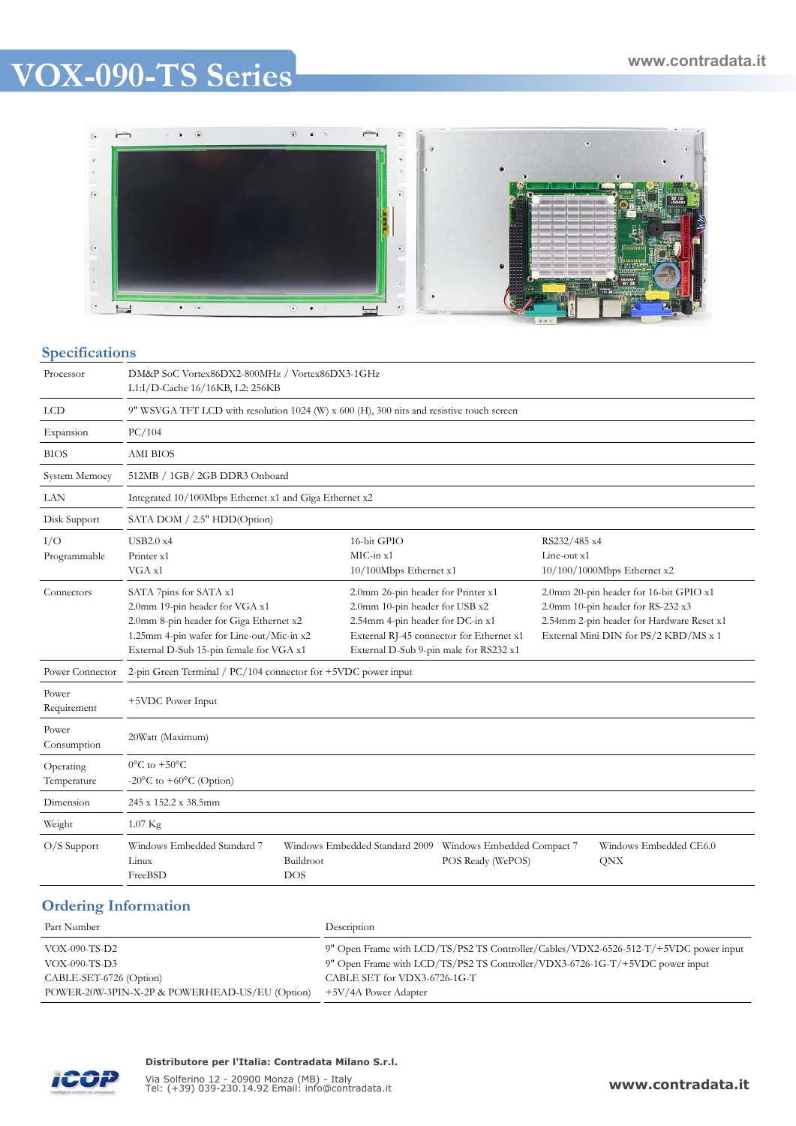# **VOX-090-TS Series**



#### **Specifications**

| peemeamono               |                                                                                                                                                                                             |                  |                                                                                                                                                                                                |                   |                             |                                                                                                                                                                   |
|--------------------------|---------------------------------------------------------------------------------------------------------------------------------------------------------------------------------------------|------------------|------------------------------------------------------------------------------------------------------------------------------------------------------------------------------------------------|-------------------|-----------------------------|-------------------------------------------------------------------------------------------------------------------------------------------------------------------|
| Processor                | DM&P SoC Vortex86DX2-800MHz / Vortex86DX3-1GHz<br>L1:I/D-Cache 16/16KB, L2: 256KB                                                                                                           |                  |                                                                                                                                                                                                |                   |                             |                                                                                                                                                                   |
| <b>LCD</b>               | 9" WSVGA TFT LCD with resolution 1024 (W) x 600 (H), 300 nits and resistive touch screen                                                                                                    |                  |                                                                                                                                                                                                |                   |                             |                                                                                                                                                                   |
| Expansion                | PC/104                                                                                                                                                                                      |                  |                                                                                                                                                                                                |                   |                             |                                                                                                                                                                   |
| <b>BIOS</b>              | AMI BIOS                                                                                                                                                                                    |                  |                                                                                                                                                                                                |                   |                             |                                                                                                                                                                   |
| System Memoey            | 512MB / 1GB/2GB DDR3 Onboard                                                                                                                                                                |                  |                                                                                                                                                                                                |                   |                             |                                                                                                                                                                   |
| LAN                      | Integrated 10/100Mbps Ethernet x1 and Giga Ethernet x2                                                                                                                                      |                  |                                                                                                                                                                                                |                   |                             |                                                                                                                                                                   |
| Disk Support             | SATA DOM / 2.5" HDD(Option)                                                                                                                                                                 |                  |                                                                                                                                                                                                |                   |                             |                                                                                                                                                                   |
| I/O<br>Programmable      | USB2.0 x4<br>Printer x1<br>VGA x1                                                                                                                                                           |                  | 16-bit GPIO<br>$MC-in x1$<br>10/100Mbps Ethernet x1                                                                                                                                            |                   | RS232/485 x4<br>Line-out x1 | 10/100/1000Mbps Ethernet x2                                                                                                                                       |
| Connectors               | SATA 7pins for SATA x1<br>2.0mm 19-pin header for VGA x1<br>2.0mm 8-pin header for Giga Ethernet x2<br>1.25mm 4-pin wafer for Line-out/Mic-in x2<br>External D-Sub 15-pin female for VGA x1 |                  | 2.0mm 26-pin header for Printer x1<br>2.0mm 10-pin header for USB x2<br>2.54mm 4-pin header for DC-in x1<br>External RJ-45 connector for Ethernet x1<br>External D-Sub 9-pin male for RS232 x1 |                   |                             | 2.0mm 20-pin header for 16-bit GPIO x1<br>2.0mm 10-pin header for RS-232 x3<br>2.54mm 2-pin header for Hardware Reset x1<br>External Mini DIN for PS/2 KBD/MS x 1 |
| Power Connector          | 2-pin Green Terminal / $PC/104$ connector for $+5VDC$ power input                                                                                                                           |                  |                                                                                                                                                                                                |                   |                             |                                                                                                                                                                   |
| Power<br>Requirement     | +5VDC Power Input                                                                                                                                                                           |                  |                                                                                                                                                                                                |                   |                             |                                                                                                                                                                   |
| Power<br>Consumption     | 20Watt (Maximum)                                                                                                                                                                            |                  |                                                                                                                                                                                                |                   |                             |                                                                                                                                                                   |
| Operating<br>Temperature | $0^{\circ}$ C to $+50^{\circ}$ C<br>-20 $\mathrm{^{\circ}C}$ to +60 $\mathrm{^{\circ}C}$ (Option)                                                                                           |                  |                                                                                                                                                                                                |                   |                             |                                                                                                                                                                   |
| Dimension                | 245 x 152.2 x 38.5mm                                                                                                                                                                        |                  |                                                                                                                                                                                                |                   |                             |                                                                                                                                                                   |
| Weight                   | $1.07$ Kg                                                                                                                                                                                   |                  |                                                                                                                                                                                                |                   |                             |                                                                                                                                                                   |
| $O/S$ Support            | Windows Embedded Standard 7<br>Linux<br>FreeBSD                                                                                                                                             | Buildroot<br>DOS | Windows Embedded Standard 2009 Windows Embedded Compact 7                                                                                                                                      | POS Ready (WePOS) |                             | Windows Embedded CE6.0<br>QNX                                                                                                                                     |
|                          |                                                                                                                                                                                             |                  |                                                                                                                                                                                                |                   |                             |                                                                                                                                                                   |

## **Ordering Information**

| Part Number                                    | Description                                                                          |
|------------------------------------------------|--------------------------------------------------------------------------------------|
| VOX-090-TS-D2                                  | 9" Open Frame with LCD/TS/PS2 TS Controller/Cables/VDX2-6526-512-T/+5VDC power input |
| VOX-090-TS-D3                                  | 9" Open Frame with LCD/TS/PS2 TS Controller/VDX3-6726-1G-T/+5VDC power input         |
| CABLE-SET-6726 (Option)                        | CABLE SET for VDX3-6726-1G-T                                                         |
| POWER-20W-3PIN-X-2P & POWERHEAD-US/EU (Option) | +5V/4A Power Adapter                                                                 |